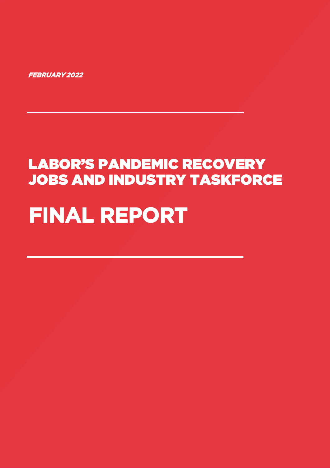# **FINAL REPORT**

# LABOR'S PANDEMIC RECOVERY JOBS AND INDUSTRY TASKFORCE

**FEBRUARY 2022**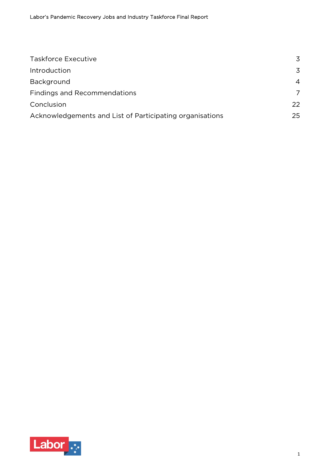| <b>Taskforce Executive</b>                               | 3                     |
|----------------------------------------------------------|-----------------------|
| Introduction                                             | 3                     |
| Background                                               | $\boldsymbol{\Delta}$ |
| <b>Findings and Recommendations</b>                      | 7                     |
| Conclusion                                               | 22                    |
| Acknowledgements and List of Participating organisations | 25                    |

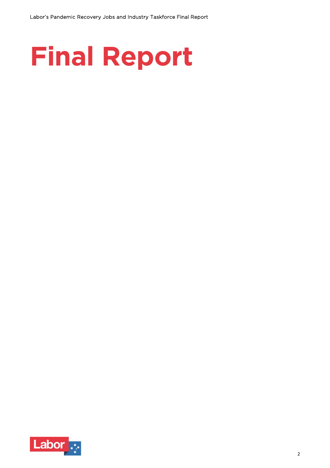

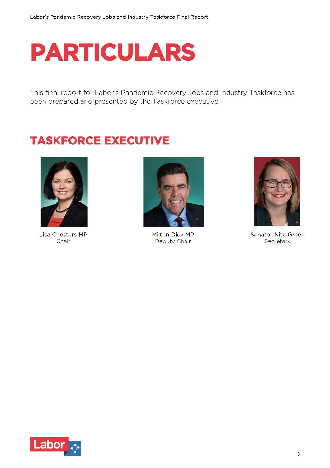# **PARTICULARS**

This final report for Labor's Pandemic Recovery Jobs and Industry Taskforce has been prepared and presented by the Taskforce executive.

# **TASKFORCE EXECUTIVE**



Lisa Chesters MP Chair



Milton Dick MP Deputy Chair



Senator Nita Green Secretary

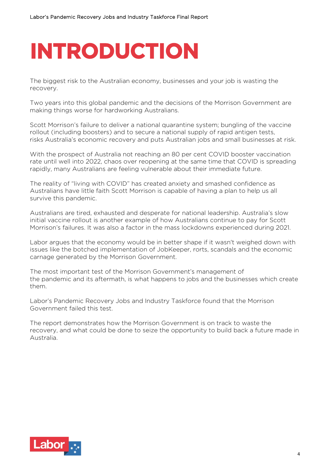# **INTRODUCTION**

The biggest risk to the Australian economy, businesses and your job is wasting the recovery.

Two years into this global pandemic and the decisions of the Morrison Government are making things worse for hardworking Australians.

Scott Morrison's failure to deliver a national quarantine system; bungling of the vaccine rollout (including boosters) and to secure a national supply of rapid antigen tests, risks Australia's economic recovery and puts Australian jobs and small businesses at risk.

With the prospect of Australia not reaching an 80 per cent COVID booster vaccination rate until well into 2022, chaos over reopening at the same time that COVID is spreading rapidly, many Australians are feeling vulnerable about their immediate future.

The reality of "living with COVID" has created anxiety and smashed confidence as Australians have little faith Scott Morrison is capable of having a plan to help us all survive this pandemic.

Australians are tired, exhausted and desperate for national leadership. Australia's slow initial vaccine rollout is another example of how Australians continue to pay for Scott Morrison's failures. It was also a factor in the mass lockdowns experienced during 2021.

Labor argues that the economy would be in better shape if it wasn't weighed down with issues like the botched implementation of JobKeeper, rorts, scandals and the economic carnage generated by the Morrison Government.

The most important test of the Morrison Government's management of the pandemic and its aftermath, is what happens to jobs and the businesses which create them.

Labor's Pandemic Recovery Jobs and Industry Taskforce found that the Morrison Government failed this test.

The report demonstrates how the Morrison Government is on track to waste the recovery, and what could be done to seize the opportunity to build back a future made in Australia.

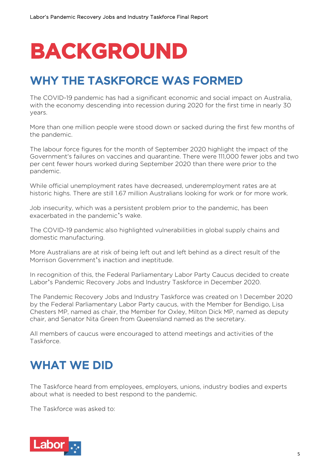# **BACKGROUND**

# WHY THE TASKFORCE WAS FORMED

The COVID-19 pandemic has had a significant economic and social impact on Australia, with the economy descending into recession during 2020 for the first time in nearly 30 years.

More than one million people were stood down or sacked during the first few months of the pandemic.

The labour force figures for the month of September 2020 highlight the impact of the Government's failures on vaccines and quarantine. There were 111,000 fewer jobs and two per cent fewer hours worked during September 2020 than there were prior to the pandemic.

While official unemployment rates have decreased, underemployment rates are at historic highs. There are still 1.67 million Australians looking for work or for more work.

Job insecurity, which was a persistent problem prior to the pandemic, has been exacerbated in the pandemic's wake.

The COVID-19 pandemic also highlighted vulnerabilities in global supply chains and domestic manufacturing.

More Australians are at risk of being left out and left behind as a direct result of the Morrison Government's inaction and ineptitude.

In recognition of this, the Federal Parliamentary Labor Party Caucus decided to create Labor's Pandemic Recovery Jobs and Industry Taskforce in December 2020.

The Pandemic Recovery Jobs and Industry Taskforce was created on 1 December 2020 by the Federal Parliamentary Labor Party caucus, with the Member for Bendigo, Lisa Chesters MP, named as chair, the Member for Oxley, Milton Dick MP, named as deputy chair, and Senator Nita Green from Queensland named as the secretary.

All members of caucus were encouraged to attend meetings and activities of the Taskforce.

# WHAT WE DID

The Taskforce heard from employees, employers, unions, industry bodies and experts about what is needed to best respond to the pandemic.

The Taskforce was asked to:

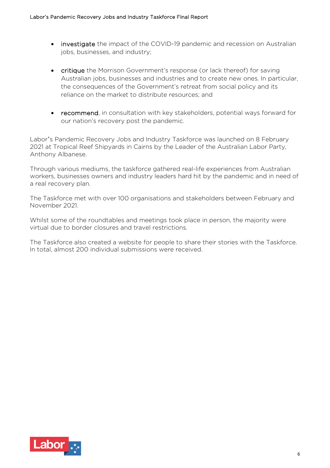- investigate the impact of the COVID-19 pandemic and recession on Australian jobs, businesses, and industry;
- critique the Morrison Government's response (or lack thereof) for saving Australian jobs, businesses and industries and to create new ones. In particular, the consequences of the Government's retreat from social policy and its reliance on the market to distribute resources; and
- recommend, in consultation with key stakeholders, potential ways forward for our nation's recovery post the pandemic.

Labor's Pandemic Recovery Jobs and Industry Taskforce was launched on 8 February 2021 at Tropical Reef Shipyards in Cairns by the Leader of the Australian Labor Party, Anthony Albanese.

Through various mediums, the taskforce gathered real-life experiences from Australian workers, businesses owners and industry leaders hard hit by the pandemic and in need of a real recovery plan.

The Taskforce met with over 100 organisations and stakeholders between February and November 2021.

Whilst some of the roundtables and meetings took place in person, the majority were virtual due to border closures and travel restrictions.

The Taskforce also created a website for people to share their stories with the Taskforce. In total, almost 200 individual submissions were received.

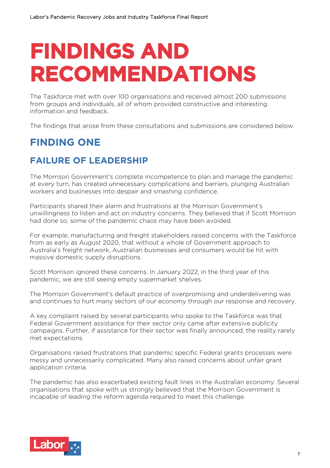# **FINDINGS AND RECOMMENDATIONS**

The Taskforce met with over 100 organisations and received almost 200 submissions from groups and individuals, all of whom provided constructive and interesting information and feedback.

The findings that arose from these consultations and submissions are considered below.

## **FINDING ONE**

## **FAILURE OF LEADERSHIP**

The Morrison Government's complete incompetence to plan and manage the pandemic at every turn, has created unnecessary complications and barriers, plunging Australian workers and businesses into despair and smashing confidence.

Participants shared their alarm and frustrations at the Morrison Government's unwillingness to listen and act on industry concerns. They believed that if Scott Morrison had done so, some of the pandemic chaos may have been avoided.

For example, manufacturing and freight stakeholders raised concerns with the Taskforce from as early as August 2020, that without a whole of Government approach to Australia's freight network, Australian businesses and consumers would be hit with massive domestic supply disruptions.

Scott Morrison ignored these concerns. In January 2022, in the third year of this pandemic, we are still seeing empty supermarket shelves.

The Morrison Government's default practice of overpromising and underdelivering was and continues to hurt many sectors of our economy through our response and recovery.

A key complaint raised by several participants who spoke to the Taskforce was that Federal Government assistance for their sector only came after extensive publicity campaigns. Further, if assistance for their sector was finally announced, the reality rarely met expectations.

Organisations raised frustrations that pandemic specific Federal grants processes were messy and unnecessarily complicated. Many also raised concerns about unfair grant application criteria.

The pandemic has also exacerbated existing fault lines in the Australian economy. Several organisations that spoke with us strongly believed that the Morrison Government is incapable of leading the reform agenda required to meet this challenge.

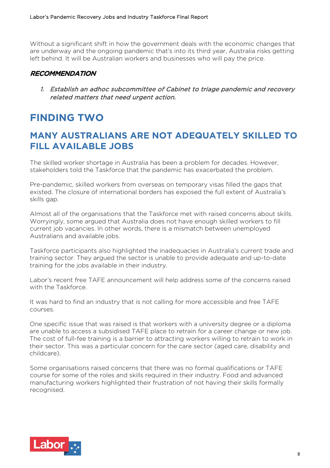Without a significant shift in how the government deals with the economic changes that are underway and the ongoing pandemic that's into its third year, Australia risks getting left behind. It will be Australian workers and businesses who will pay the price.

## RECOMMENDATION

1. Establish an adhoc subcommittee of Cabinet to triage pandemic and recovery related matters that need urgent action.

## **FINDING TWO**

## **MANY AUSTRALIANS ARE NOT ADEQUATELY SKILLED TO FILL AVAILABLE JOBS**

The skilled worker shortage in Australia has been a problem for decades. However, stakeholders told the Taskforce that the pandemic has exacerbated the problem.

Pre-pandemic, skilled workers from overseas on temporary visas filled the gaps that existed. The closure of international borders has exposed the full extent of Australia's skills gap.

Almost all of the organisations that the Taskforce met with raised concerns about skills. Worryingly, some argued that Australia does not have enough skilled workers to fill current job vacancies. In other words, there is a mismatch between unemployed Australians and available jobs.

Taskforce participants also highlighted the inadequacies in Australia's current trade and training sector. They argued the sector is unable to provide adequate and up-to-date training for the jobs available in their industry.

Labor's recent free TAFE announcement will help address some of the concerns raised with the Taskforce.

It was hard to find an industry that is not calling for more accessible and free TAFE courses.

One specific issue that was raised is that workers with a university degree or a diploma are unable to access a subsidised TAFE place to retrain for a career change or new job. The cost of full-fee training is a barrier to attracting workers willing to retrain to work in their sector. This was a particular concern for the care sector (aged care, disability and childcare).

Some organisations raised concerns that there was no formal qualifications or TAFE course for some of the roles and skills required in their industry. Food and advanced manufacturing workers highlighted their frustration of not having their skills formally recognised.

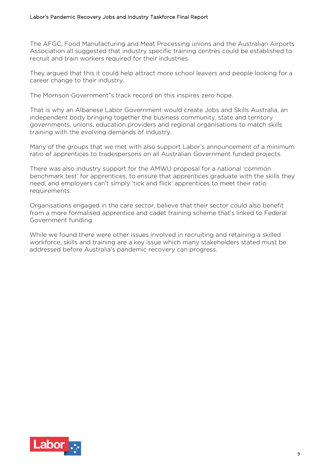The AFGC, Food Manufacturing and Meat Processing unions and the Australian Airports Association all suggested that industry specific training centres could be established to recruit and train workers required for their industries.

They argued that this it could help attract more school leavers and people looking for a career change to their industry.

The Morrison Government's track record on this inspires zero hope.

That is why an Albanese Labor Government would create Jobs and Skills Australia, an independent body bringing together the business community, state and territory governments, unions, education providers and regional organisations to match skills training with the evolving demands of industry.

Many of the groups that we met with also support Labor's announcement of a minimum ratio of apprentices to tradespersons on all Australian Government funded projects.

There was also industry support for the AMWU proposal for a national 'common benchmark test' for apprentices, to ensure that apprentices graduate with the skills they need, and employers can't simply 'tick and flick' apprentices to meet their ratio requirements.

Organisations engaged in the care sector, believe that their sector could also benefit from a more formalised apprentice and cadet training scheme that's linked to Federal Government funding.

While we found there were other issues involved in recruiting and retaining a skilled workforce, skills and training are a key issue which many stakeholders stated must be addressed before Australia's pandemic recovery can progress.

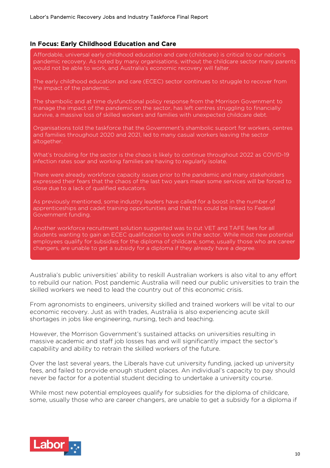### In Focus: Early Childhood Education and Care

Affordable, universal early childhood education and care (childcare) is critical to our nation's pandemic recovery. As noted by many organisations, without the childcare sector many parents would not be able to work, and Australia's economic recovery will falter.

The early childhood education and care (ECEC) sector continues to struggle to recover from the impact of the pandemic.

The shambolic and at time dysfunctional policy response from the Morrison Government to manage the impact of the pandemic on the sector, has left centres struggling to financially survive, a massive loss of skilled workers and families with unexpected childcare debt.

Organisations told the taskforce that the Government's shambolic support for workers, centres and families throughout 2020 and 2021, led to many casual workers leaving the sector altogether.

What's troubling for the sector is the chaos is likely to continue throughout 2022 as COVID-19 infection rates soar and working families are having to regularly isolate.

There were already workforce capacity issues prior to the pandemic and many stakeholders expressed their fears that the chaos of the last two years mean some services will be forced to close due to a lack of qualified educators.

As previously mentioned, some industry leaders have called for a boost in the number of apprenticeships and cadet training opportunities and that this could be linked to Federal Government funding.

Another workforce recruitment solution suggested was to cut VET and TAFE fees for all students wanting to gain an ECEC qualification to work in the sector. While most new potential employees qualify for subsidies for the diploma of childcare, some, usually those who are career changers, are unable to get a subsidy for a diploma if they already have a degree.

Australia's public universities' ability to reskill Australian workers is also vital to any effort to rebuild our nation. Post pandemic Australia will need our public universities to train the skilled workers we need to lead the country out of this economic crisis.

From agronomists to engineers, university skilled and trained workers will be vital to our economic recovery. Just as with trades, Australia is also experiencing acute skill shortages in jobs like engineering, nursing, tech and teaching.

However, the Morrison Government's sustained attacks on universities resulting in massive academic and staff job losses has and will significantly impact the sector's capability and ability to retrain the skilled workers of the future.

Over the last several years, the Liberals have cut university funding, jacked up university fees, and failed to provide enough student places. An individual's capacity to pay should never be factor for a potential student deciding to undertake a university course.

While most new potential employees qualify for subsidies for the diploma of childcare, some, usually those who are career changers, are unable to get a subsidy for a diploma if

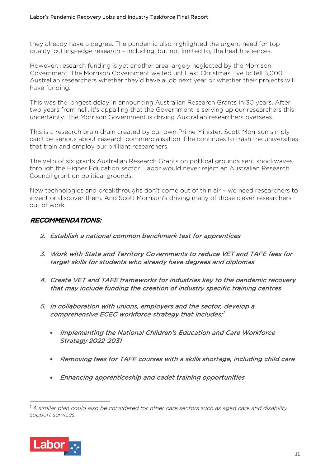they already have a degree. The pandemic also highlighted the urgent need for topquality, cutting-edge research – including, but not limited to, the health sciences.

However, research funding is yet another area largely neglected by the Morrison Government. The Morrison Government waited until last Christmas Eve to tell 5,000 Australian researchers whether they'd have a job next year or whether their projects will have funding.

This was the longest delay in announcing Australian Research Grants in 30 years. After two years from hell, it's appalling that the Government is serving up our researchers this uncertainty. The Morrison Government is driving Australian researchers overseas.

This is a research brain drain created by our own Prime Minister. Scott Morrison simply can't be serious about research commercialisation if he continues to trash the universities that train and employ our brilliant researchers.

The veto of six grants Australian Research Grants on political grounds sent shockwaves through the Higher Education sector. Labor would never reject an Australian Research Council grant on political grounds.

New technologies and breakthroughs don't come out of thin air – we need researchers to invent or discover them. And Scott Morrison's driving many of those clever researchers out of work.

## RECOMMENDATIONS:

- 2. Establish a national common benchmark test for apprentices
- 3. Work with State and Territory Governments to reduce VET and TAFE fees for target skills for students who already have degrees and diplomas
- 4. Create VET and TAFE frameworks for industries key to the pandemic recovery that may include funding the creation of industry specific training centres
- 5. In collaboration with unions, employers and the sector, develop a comprehensive ECEC workforce strategy that includes:1
	- Implementing the National Children's Education and Care Workforce Strategy 2022-2031
	- Removing fees for TAFE courses with a skills shortage, including child care
	- Enhancing apprenticeship and cadet training opportunities

<sup>1</sup> *A similar plan could also be considered for other care sectors such as aged care and disability support services.*

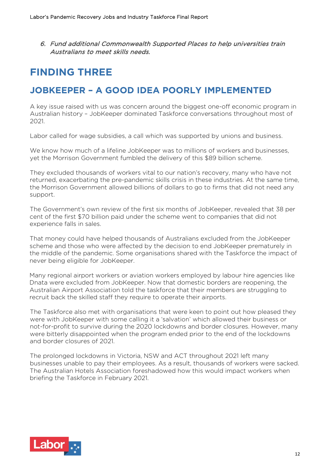6. Fund additional Commonwealth Supported Places to help universities train Australians to meet skills needs.

## **FINDING THREE**

## **JOBKEEPER – A GOOD IDEA POORLY IMPLEMENTED**

A key issue raised with us was concern around the biggest one-off economic program in Australian history – JobKeeper dominated Taskforce conversations throughout most of 2021.

Labor called for wage subsidies, a call which was supported by unions and business.

We know how much of a lifeline JobKeeper was to millions of workers and businesses. yet the Morrison Government fumbled the delivery of this \$89 billion scheme.

They excluded thousands of workers vital to our nation's recovery, many who have not returned, exacerbating the pre-pandemic skills crisis in these industries. At the same time, the Morrison Government allowed billions of dollars to go to firms that did not need any support.

The Government's own review of the first six months of JobKeeper, revealed that 38 per cent of the first \$70 billion paid under the scheme went to companies that did not experience falls in sales.

That money could have helped thousands of Australians excluded from the JobKeeper scheme and those who were affected by the decision to end JobKeeper prematurely in the middle of the pandemic. Some organisations shared with the Taskforce the impact of never being eligible for JobKeeper.

Many regional airport workers or aviation workers employed by labour hire agencies like Dnata were excluded from JobKeeper. Now that domestic borders are reopening, the Australian Airport Association told the taskforce that their members are struggling to recruit back the skilled staff they require to operate their airports.

The Taskforce also met with organisations that were keen to point out how pleased they were with JobKeeper with some calling it a 'salvation' which allowed their business or not-for-profit to survive during the 2020 lockdowns and border closures. However, many were bitterly disappointed when the program ended prior to the end of the lockdowns and border closures of 2021.

The prolonged lockdowns in Victoria, NSW and ACT throughout 2021 left many businesses unable to pay their employees. As a result, thousands of workers were sacked. The Australian Hotels Association foreshadowed how this would impact workers when briefing the Taskforce in February 2021.

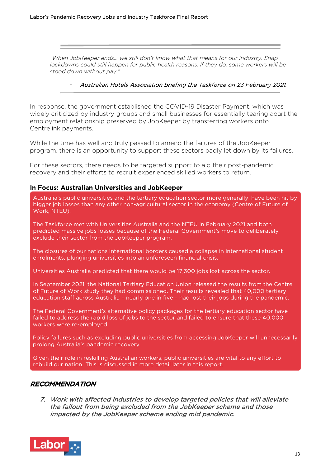*"When JobKeeper ends… we still don't know what that means for our industry. Snap lockdowns could still happen for public health reasons. If they do, some workers will be stood down without pay."*

#### - Australian Hotels Association briefing the Taskforce on 23 February 2021.

In response, the government established the COVID-19 Disaster Payment, which was widely criticized by industry groups and small businesses for essentially tearing apart the employment relationship preserved by JobKeeper by transferring workers onto Centrelink payments.

While the time has well and truly passed to amend the failures of the JobKeeper program, there is an opportunity to support these sectors badly let down by its failures.

For these sectors, there needs to be targeted support to aid their post-pandemic recovery and their efforts to recruit experienced skilled workers to return.

### In Focus: Australian Universities and JobKeeper

Australia's public universities and the tertiary education sector more generally, have been hit by bigger job losses than any other non-agricultural sector in the economy (Centre of Future of Work, NTEU).

The Taskforce met with Universities Australia and the NTEU in February 2021 and both predicted massive jobs losses because of the Federal Government's move to deliberately exclude their sector from the JobKeeper program.

The closures of our nations international borders caused a collapse in international student enrolments, plunging universities into an unforeseen financial crisis.

Universities Australia predicted that there would be 17,300 jobs lost across the sector.

In September 2021, the National Tertiary Education Union released the results from the Centre of Future of Work study they had commissioned. Their results revealed that 40,000 tertiary education staff across Australia – nearly one in five – had lost their jobs during the pandemic.

The Federal Government's alternative policy packages for the tertiary education sector have failed to address the rapid loss of jobs to the sector and failed to ensure that these 40,000 workers were re-employed.

Policy failures such as excluding public universities from accessing JobKeeper will unnecessarily prolong Australia's pandemic recovery.

Given their role in reskilling Australian workers, public universities are vital to any effort to rebuild our nation. This is discussed in more detail later in this report.

### RECOMMENDATION

7. Work with affected industries to develop targeted policies that will alleviate the fallout from being excluded from the JobKeeper scheme and those impacted by the JobKeeper scheme ending mid pandemic.

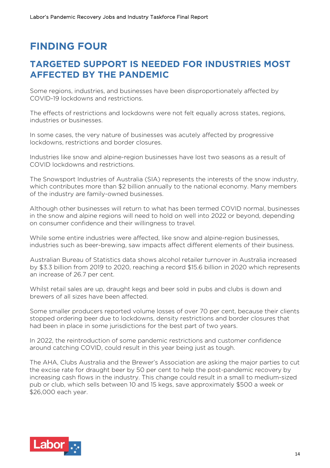# **FINDING FOUR**

## **TARGETED SUPPORT IS NEEDED FOR INDUSTRIES MOST AFFECTED BY THE PANDEMIC**

Some regions, industries, and businesses have been disproportionately affected by COVID-19 lockdowns and restrictions.

The effects of restrictions and lockdowns were not felt equally across states, regions, industries or businesses.

In some cases, the very nature of businesses was acutely affected by progressive lockdowns, restrictions and border closures.

Industries like snow and alpine-region businesses have lost two seasons as a result of COVID lockdowns and restrictions.

The Snowsport Industries of Australia (SIA) represents the interests of the snow industry, which contributes more than \$2 billion annually to the national economy. Many members of the industry are family-owned businesses.

Although other businesses will return to what has been termed COVID normal, businesses in the snow and alpine regions will need to hold on well into 2022 or beyond, depending on consumer confidence and their willingness to travel.

While some entire industries were affected, like snow and alpine-region businesses, industries such as beer-brewing, saw impacts affect different elements of their business.

Australian Bureau of Statistics data shows alcohol retailer turnover in Australia increased by \$3.3 billion from 2019 to 2020, reaching a record \$15.6 billion in 2020 which represents an increase of 26.7 per cent.

Whilst retail sales are up, draught kegs and beer sold in pubs and clubs is down and brewers of all sizes have been affected.

Some smaller producers reported volume losses of over 70 per cent, because their clients stopped ordering beer due to lockdowns, density restrictions and border closures that had been in place in some jurisdictions for the best part of two years.

In 2022, the reintroduction of some pandemic restrictions and customer confidence around catching COVID, could result in this year being just as tough.

The AHA, Clubs Australia and the Brewer's Association are asking the major parties to cut the excise rate for draught beer by 50 per cent to help the post-pandemic recovery by increasing cash flows in the industry. This change could result in a small to medium-sized pub or club, which sells between 10 and 15 kegs, save approximately \$500 a week or \$26,000 each year.

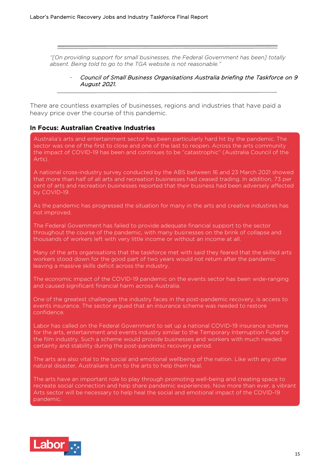*"[On providing support for small businesses, the Federal Government has been] totally absent. Being told to go to the TGA website is not reasonable."*

> Council of Small Business Organisations Australia briefing the Taskforce on 9 August 2021.

There are countless examples of businesses, regions and industries that have paid a heavy price over the course of this pandemic.

#### In Focus: Australian Creative Industries

Australia's arts and entertainment sector has been particularly hard hit by the pandemic. The sector was one of the first to close and one of the last to reopen. Across the arts community the impact of COVID-19 has been and continues to be "catastrophic" (Australia Council of the Arts).

A national cross-industry survey conducted by the ABS between 16 and 23 March 2021 showed that more than half of all arts and recreation businesses had ceased trading. In addition, 73 per cent of arts and recreation businesses reported that their business had been adversely affected by COVID-19.

As the pandemic has progressed the situation for many in the arts and creative industires has not improved.

The Federal Government has failed to provide adequate financial support to the sector throughout the course of the pandemic, with many businesses on the brink of collapse and thousands of workers left with very little income or without an income at all.

Many of the arts organisations that the taskforce met with said they feared that the skilled arts workers stood down for the good part of two years would not return after the pandemic leaving a massive skills deficit across the industry.

The economic impact of the COVID-19 pandemic on the events sector has been wide-ranging and caused significant financial harm across Australia.

One of the greatest challenges the industry faces in the post-pandemic recovery, is access to events insurance. The sector argued that an insurance scheme was needed to restore confidence.

Labor has called on the Federal Government to set up a national COVID-19 insurance scheme for the arts, entertainment and events industry similar to the Temporary Interruption Fund for the film industry. Such a scheme would provide businesses and workers with much needed certainty and stability during the post-pandemic recovery period.

The arts are also vital to the social and emotional wellbeing of the nation. Like with any other natural disaster, Australians turn to the arts to help them heal.

The arts have an important role to play through promoting well-being and creating space to recreate social connection and help share pandemic experiences. Now more than ever, a vibrant Arts sector will be necessary to help heal the social and emotional impact of the COVID-19 pandemic.

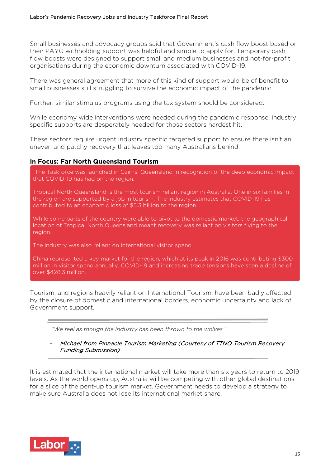Small businesses and advocacy groups said that Government's cash flow boost based on their PAYG withholding support was helpful and simple to apply for. Temporary cash flow boosts were designed to support small and medium businesses and not-for-profit organisations during the economic downturn associated with COVID-19.

There was general agreement that more of this kind of support would be of benefit to small businesses still struggling to survive the economic impact of the pandemic.

Further, similar stimulus programs using the tax system should be considered.

While economy wide interventions were needed during the pandemic response, industry specific supports are desperately needed for those sectors hardest hit.

These sectors require urgent industry specific targeted support to ensure there isn't an uneven and patchy recovery that leaves too many Australians behind.

### In Focus: Far North Queensland Tourism

The Taskforce was launched in Cairns, Queensland in recognition of the deep economic impact that COVID-19 has had on the region.

Tropical North Queensland is the most tourism reliant region in Australia. One in six families in the region are supported by a job in tourism. The industry estimates that COVID-19 has contributed to an economic loss of \$5.3 billion to the region.

While some parts of the country were able to pivot to the domestic market, the geographical location of Tropical North Queensland meant recovery was reliant on visitors flying to the region.

The industry was also reliant on international visitor spend.

China represented a key market for the region, which at its peak in 2016 was contributing \$300 million in visitor spend annually. COVID-19 and increasing trade tensions have seen a decline of over \$428.3 million.

Tourism, and regions heavily reliant on International Tourism, have been badly affected by the closure of domestic and international borders, economic uncertainty and lack of Government support.

*"We feel as though the industry has been thrown to the wolves."*

#### Michael from Pinnacle Tourism Marketing (Courtesy of TTNQ Tourism Recovery Funding Submission)

It is estimated that the international market will take more than six years to return to 2019 levels. As the world opens up, Australia will be competing with other global destinations for a slice of the pent-up tourism market. Government needs to develop a strategy to make sure Australia does not lose its international market share.

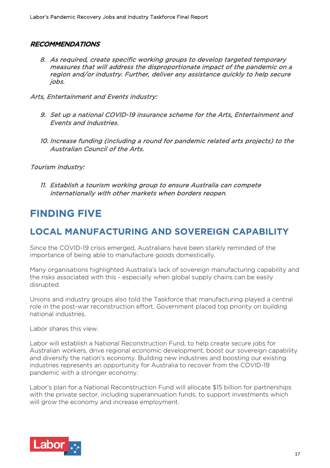## RECOMMENDATIONS

8. As required, create specific working groups to develop targeted temporary measures that will address the disproportionate impact of the pandemic on a region and/or industry. Further, deliver any assistance quickly to help secure jobs.

Arts, Entertainment and Events industry:

- 9. Set up a national COVID-19 insurance scheme for the Arts, Entertainment and Events and industries.
- 10. Increase funding (including a round for pandemic related arts projects) to the Australian Council of the Arts.

Tourism Industry:

11. Establish a tourism working group to ensure Australia can compete internationally with other markets when borders reopen.

## **FINDING FIVE**

## **LOCAL MANUFACTURING AND SOVEREIGN CAPABILITY**

Since the COVID-19 crisis emerged, Australians have been starkly reminded of the importance of being able to manufacture goods domestically.

Many organisations highlighted Australia's lack of sovereign manufacturing capability and the risks associated with this - especially when global supply chains can be easily disrupted.

Unions and industry groups also told the Taskforce that manufacturing played a central role in the post-war reconstruction effort. Government placed top priority on building national industries.

Labor shares this view.

Labor will establish a National Reconstruction Fund, to help create secure jobs for Australian workers, drive regional economic development, boost our sovereign capability and diversify the nation's economy. Building new industries and boosting our existing industries represents an opportunity for Australia to recover from the COVID-19 pandemic with a stronger economy.

Labor's plan for a National Reconstruction Fund will allocate \$15 billion for partnerships with the private sector, including superannuation funds, to support investments which will grow the economy and increase employment.

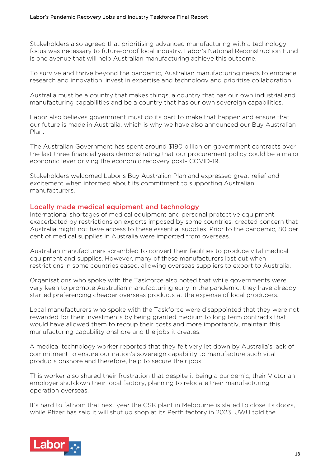Stakeholders also agreed that prioritising advanced manufacturing with a technology focus was necessary to future-proof local industry. Labor's National Reconstruction Fund is one avenue that will help Australian manufacturing achieve this outcome.

To survive and thrive beyond the pandemic, Australian manufacturing needs to embrace research and innovation, invest in expertise and technology and prioritise collaboration.

Australia must be a country that makes things, a country that has our own industrial and manufacturing capabilities and be a country that has our own sovereign capabilities.

Labor also believes government must do its part to make that happen and ensure that our future is made in Australia, which is why we have also announced our Buy Australian Plan.

The Australian Government has spent around \$190 billion on government contracts over the last three financial years demonstrating that our procurement policy could be a major economic lever driving the economic recovery post- COVID-19.

Stakeholders welcomed Labor's Buy Australian Plan and expressed great relief and excitement when informed about its commitment to supporting Australian manufacturers.

### Locally made medical equipment and technology

International shortages of medical equipment and personal protective equipment, exacerbated by restrictions on exports imposed by some countries, created concern that Australia might not have access to these essential supplies. Prior to the pandemic, 80 per cent of medical supplies in Australia were imported from overseas.

Australian manufacturers scrambled to convert their facilities to produce vital medical equipment and supplies. However, many of these manufacturers lost out when restrictions in some countries eased, allowing overseas suppliers to export to Australia.

Organisations who spoke with the Taskforce also noted that while governments were very keen to promote Australian manufacturing early in the pandemic, they have already started preferencing cheaper overseas products at the expense of local producers.

Local manufacturers who spoke with the Taskforce were disappointed that they were not rewarded for their investments by being granted medium to long term contracts that would have allowed them to recoup their costs and more importantly, maintain this manufacturing capability onshore and the jobs it creates.

A medical technology worker reported that they felt very let down by Australia's lack of commitment to ensure our nation's sovereign capability to manufacture such vital products onshore and therefore, help to secure their jobs.

This worker also shared their frustration that despite it being a pandemic, their Victorian employer shutdown their local factory, planning to relocate their manufacturing operation overseas.

It's hard to fathom that next year the GSK plant in Melbourne is slated to close its doors, while Pfizer has said it will shut up shop at its Perth factory in 2023. UWU told the

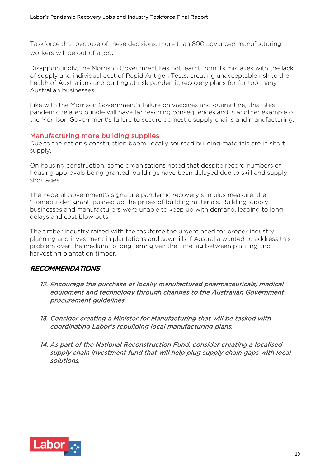Taskforce that because of these decisions, more than 800 advanced manufacturing workers will be out of a job.

Disappointingly, the Morrison Government has not learnt from its mistakes with the lack of supply and individual cost of Rapid Antigen Tests, creating unacceptable risk to the health of Australians and putting at risk pandemic recovery plans for far too many Australian businesses.

Like with the Morrison Government's failure on vaccines and quarantine, this latest pandemic related bungle will have far reaching consequences and is another example of the Morrison Government's failure to secure domestic supply chains and manufacturing.

### Manufacturing more building supplies

Due to the nation's construction boom, locally sourced building materials are in short supply.

On housing construction, some organisations noted that despite record numbers of housing approvals being granted, buildings have been delayed due to skill and supply shortages.

The Federal Government's signature pandemic recovery stimulus measure, the 'Homebuilder' grant, pushed up the prices of building materials. Building supply businesses and manufacturers were unable to keep up with demand, leading to long delays and cost blow outs.

The timber industry raised with the taskforce the urgent need for proper industry planning and investment in plantations and sawmills if Australia wanted to address this problem over the medium to long term given the time lag between planting and harvesting plantation timber.

## RECOMMENDATIONS

- 12. Encourage the purchase of locally manufactured pharmaceuticals, medical equipment and technology through changes to the Australian Government procurement guidelines.
- 13. Consider creating a Minister for Manufacturing that will be tasked with coordinating Labor's rebuilding local manufacturing plans.
- 14. As part of the National Reconstruction Fund, consider creating a localised supply chain investment fund that will help plug supply chain gaps with local solutions.

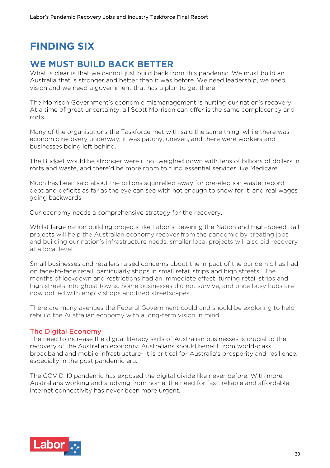# **FINDING SIX**

## **WE MUST BUILD BACK BETTER**

What is clear is that we cannot just build back from this pandemic. We must build an Australia that is stronger and better than it was before. We need leadership, we need vision and we need a government that has a plan to get there.

The Morrison Government's economic mismanagement is hurting our nation's recovery. At a time of great uncertainty, all Scott Morrison can offer is the same complacency and rorts.

Many of the organisations the Taskforce met with said the same thing, while there was economic recovery underway, it was patchy, uneven, and there were workers and businesses being left behind.

The Budget would be stronger were it not weighed down with tens of billions of dollars in rorts and waste, and there'd be more room to fund essential services like Medicare.

Much has been said about the billions squirrelled away for pre-election waste; record debt and deficits as far as the eye can see with not enough to show for it; and real wages going backwards.

Our economy needs a comprehensive strategy for the recovery.

Whilst large nation building projects like Labor's Rewiring the Nation and High-Speed Rail projects will help the Australian economy recover from the pandemic by creating jobs and building our nation's infrastructure needs, smaller local projects will also aid recovery at a local level.

Small businesses and retailers raised concerns about the impact of the pandemic has had on face-to-face retail, particularly shops in small retail strips and high streets. The months of lockdown and restrictions had an immediate effect, turning retail strips and high streets into ghost towns. Some businesses did not survive, and once busy hubs are now dotted with empty shops and tired streetscapes.

There are many avenues the Federal Government could and should be exploring to help rebuild the Australian economy with a long-term vision in mind.

### The Digital Economy

The need to increase the digital literacy skills of Australian businesses is crucial to the recovery of the Australian economy. Australians should benefit from world-class broadband and mobile infrastructure- it is critical for Australia's prosperity and resilience, especially in the post pandemic era.

The COVID-19 pandemic has exposed the digital divide like never before. With more Australians working and studying from home, the need for fast, reliable and affordable internet connectivity has never been more urgent.

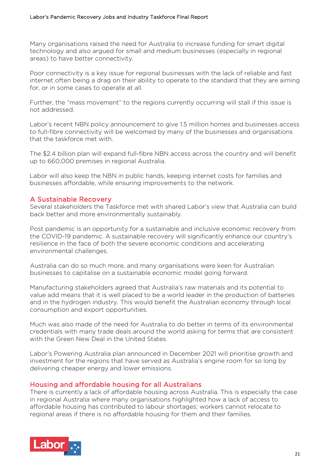Many organisations raised the need for Australia to increase funding for smart digital technology and also argued for small and medium businesses (especially in regional areas) to have better connectivity.

Poor connectivity is a key issue for regional businesses with the lack of reliable and fast internet often being a drag on their ability to operate to the standard that they are aiming for, or in some cases to operate at all.

Further, the "mass movement" to the regions currently occurring will stall if this issue is not addressed.

Labor's recent NBN policy announcement to give 1.5 million homes and businesses access to full-fibre connectivity will be welcomed by many of the businesses and organisations that the taskforce met with.

The \$2.4 billion plan will expand full-fibre NBN access across the country and will benefit up to 660,000 premises in regional Australia.

Labor will also keep the NBN in public hands, keeping internet costs for families and businesses affordable, while ensuring improvements to the network.

## A Sustainable Recovery

Several stakeholders the Taskforce met with shared Labor's view that Australia can build back better and more environmentally sustainably.

Post pandemic is an opportunity for a sustainable and inclusive economic recovery from the COVID-19 pandemic. A sustainable recovery will significantly enhance our country's resilience in the face of both the severe economic conditions and accelerating environmental challenges.

Australia can do so much more, and many organisations were keen for Australian businesses to capitalise on a sustainable economic model going forward.

Manufacturing stakeholders agreed that Australia's raw materials and its potential to value add means that it is well placed to be a world leader in the production of batteries and in the hydrogen industry. This would benefit the Australian economy through local consumption and export opportunities.

Much was also made of the need for Australia to do better in terms of its environmental credentials with many trade deals around the world asking for terms that are consistent with the Green New Deal in the United States.

Labor's Powering Australia plan announced in December 2021 will prioritise growth and investment for the regions that have served as Australia's engine room for so long by delivering cheaper energy and lower emissions.

## Housing and affordable housing for all Australians

There is currently a lack of affordable housing across Australia. This is especially the case in regional Australia where many organisations highlighted how a lack of access to affordable housing has contributed to labour shortages; workers cannot relocate to regional areas if there is no affordable housing for them and their families.

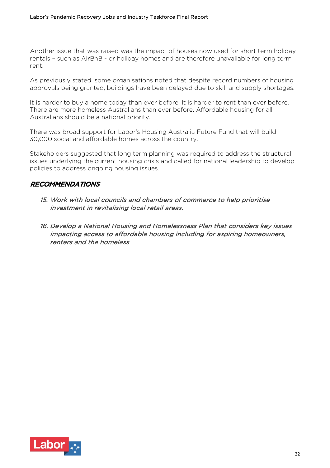Another issue that was raised was the impact of houses now used for short term holiday rentals – such as AirBnB - or holiday homes and are therefore unavailable for long term rent.

As previously stated, some organisations noted that despite record numbers of housing approvals being granted, buildings have been delayed due to skill and supply shortages.

It is harder to buy a home today than ever before. It is harder to rent than ever before. There are more homeless Australians than ever before. Affordable housing for all Australians should be a national priority.

There was broad support for Labor's Housing Australia Future Fund that will build 30,000 social and affordable homes across the country.

Stakeholders suggested that long term planning was required to address the structural issues underlying the current housing crisis and called for national leadership to develop policies to address ongoing housing issues.

## RECOMMENDATIONS

- 15. Work with local councils and chambers of commerce to help prioritise investment in revitalising local retail areas.
- 16. Develop a National Housing and Homelessness Plan that considers key issues impacting access to affordable housing including for aspiring homeowners, renters and the homeless

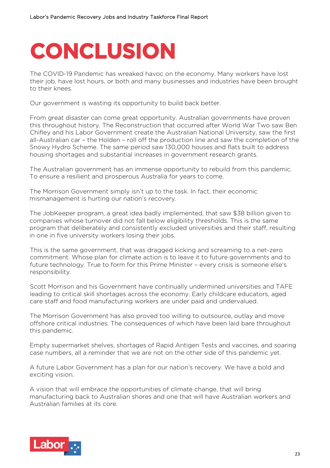# **CONCLUSION**

The COVID-19 Pandemic has wreaked havoc on the economy. Many workers have lost their job, have lost hours, or both and many businesses and industries have been brought to their knees.

Our government is wasting its opportunity to build back better.

From great disaster can come great opportunity. Australian governments have proven this throughout history. The Reconstruction that occurred after World War Two saw Ben Chifley and his Labor Government create the Australian National University, saw the first all-Australian car – the Holden – roll off the production line and saw the completion of the Snowy Hydro Scheme. The same period saw 130,000 houses and flats built to address housing shortages and substantial increases in government research grants.

The Australian government has an immense opportunity to rebuild from this pandemic. To ensure a resilient and prosperous Australia for years to come.

The Morrison Government simply isn't up to the task. In fact, their economic mismanagement is hurting our nation's recovery.

The JobKeeper program, a great idea badly implemented, that saw \$38 billion given to companies whose turnover did not fall below eligibility thresholds. This is the same program that deliberately and consistently excluded universities and their staff, resulting in one in five university workers losing their jobs.

This is the same government, that was dragged kicking and screaming to a net-zero commitment. Whose plan for climate action is to leave it to future governments and to future technology. True to form for this Prime Minister – every crisis is someone else's responsibility.

Scott Morrison and his Government have continually undermined universities and TAFE leading to critical skill shortages across the economy. Early childcare educators, aged care staff and food manufacturing workers are under paid and undervalued.

The Morrison Government has also proved too willing to outsource, outlay and move offshore critical industries. The consequences of which have been laid bare throughout this pandemic.

Empty supermarket shelves, shortages of Rapid Antigen Tests and vaccines, and soaring case numbers, all a reminder that we are not on the other side of this pandemic yet.

A future Labor Government has a plan for our nation's recovery. We have a bold and exciting vision.

A vision that will embrace the opportunities of climate change, that will bring manufacturing back to Australian shores and one that will have Australian workers and Australian families at its core.

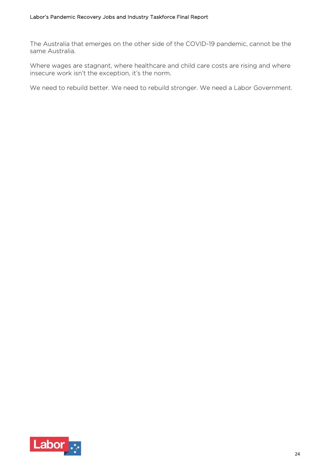The Australia that emerges on the other side of the COVID-19 pandemic, cannot be the same Australia.

Where wages are stagnant, where healthcare and child care costs are rising and where insecure work isn't the exception, it's the norm.

We need to rebuild better. We need to rebuild stronger. We need a Labor Government.

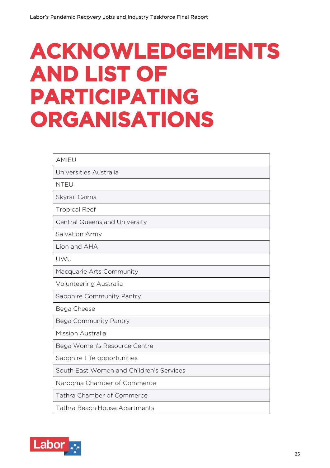# **ACKNOWLEDGEMENTS AND LIST OF PARTICIPATING ORGANISATIONS**

| <b>AMIEU</b>                             |
|------------------------------------------|
| Universities Australia                   |
| <b>NTEU</b>                              |
| Skyrail Cairns                           |
| <b>Tropical Reef</b>                     |
| Central Queensland University            |
| Salvation Army                           |
| Lion and AHA                             |
| UWU                                      |
| Macquarie Arts Community                 |
| Volunteering Australia                   |
| Sapphire Community Pantry                |
| Bega Cheese                              |
| Bega Community Pantry                    |
| Mission Australia                        |
| Bega Women's Resource Centre             |
| Sapphire Life opportunities              |
| South East Women and Children's Services |
| Narooma Chamber of Commerce              |
| Tathra Chamber of Commerce               |
| Tathra Beach House Apartments            |

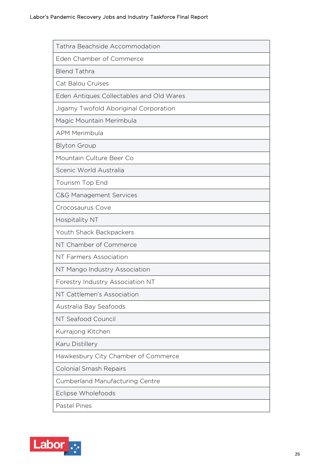| Tathra Beachside Accommodation           |
|------------------------------------------|
| Eden Chamber of Commerce                 |
| <b>Blend Tathra</b>                      |
| Cat Balou Cruises                        |
| Eden Antiques Collectables and Old Wares |
| Jigamy Twofold Aboriginal Corporation    |
| Magic Mountain Merimbula                 |
| <b>APM Merimbula</b>                     |
| <b>Blyton Group</b>                      |
| Mountain Culture Beer Co                 |
| Scenic World Australia                   |
| Tourism Top End                          |
| <b>C&amp;G Management Services</b>       |
| Crocosaurus Cove                         |
| <b>Hospitality NT</b>                    |
| Youth Shack Backpackers                  |
| NT Chamber of Commerce                   |
| NT Farmers Association                   |
| NT Mango Industry Association            |
| Forestry Industry Association NT         |
| NT Cattlemen's Association               |
| Australia Bay Seafoods                   |
| NT Seafood Council                       |
| Kurrajong Kitchen                        |
| Karu Distillery                          |
| Hawkesbury City Chamber of Commerce      |
| <b>Colonial Smash Repairs</b>            |
| <b>Cumberland Manufacturing Centre</b>   |
| Eclipse Wholefoods                       |
| Pastel Pines                             |

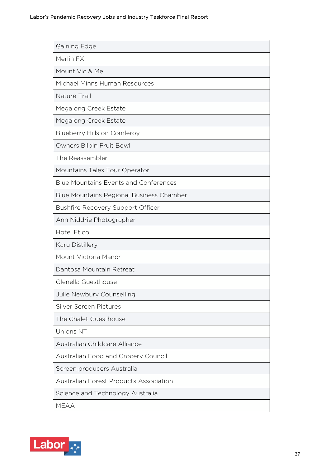| Gaining Edge                                  |
|-----------------------------------------------|
| Merlin FX                                     |
| Mount Vic & Me                                |
| Michael Minns Human Resources                 |
| Nature Trail                                  |
| Megalong Creek Estate                         |
| Megalong Creek Estate                         |
| Blueberry Hills on Comleroy                   |
| Owners Bilpin Fruit Bowl                      |
| The Reassembler                               |
| Mountains Tales Tour Operator                 |
| <b>Blue Mountains Events and Conferences</b>  |
| Blue Mountains Regional Business Chamber      |
| <b>Bushfire Recovery Support Officer</b>      |
| Ann Niddrie Photographer                      |
| <b>Hotel Etico</b>                            |
| Karu Distillery                               |
| Mount Victoria Manor                          |
| Dantosa Mountain Retreat                      |
| Glenella Guesthouse                           |
| Julie Newbury Counselling                     |
| Silver Screen Pictures                        |
| The Chalet Guesthouse                         |
| <b>Unions NT</b>                              |
| Australian Childcare Alliance                 |
| Australian Food and Grocery Council           |
| Screen producers Australia                    |
| <b>Australian Forest Products Association</b> |
| Science and Technology Australia              |
| <b>MEAA</b>                                   |